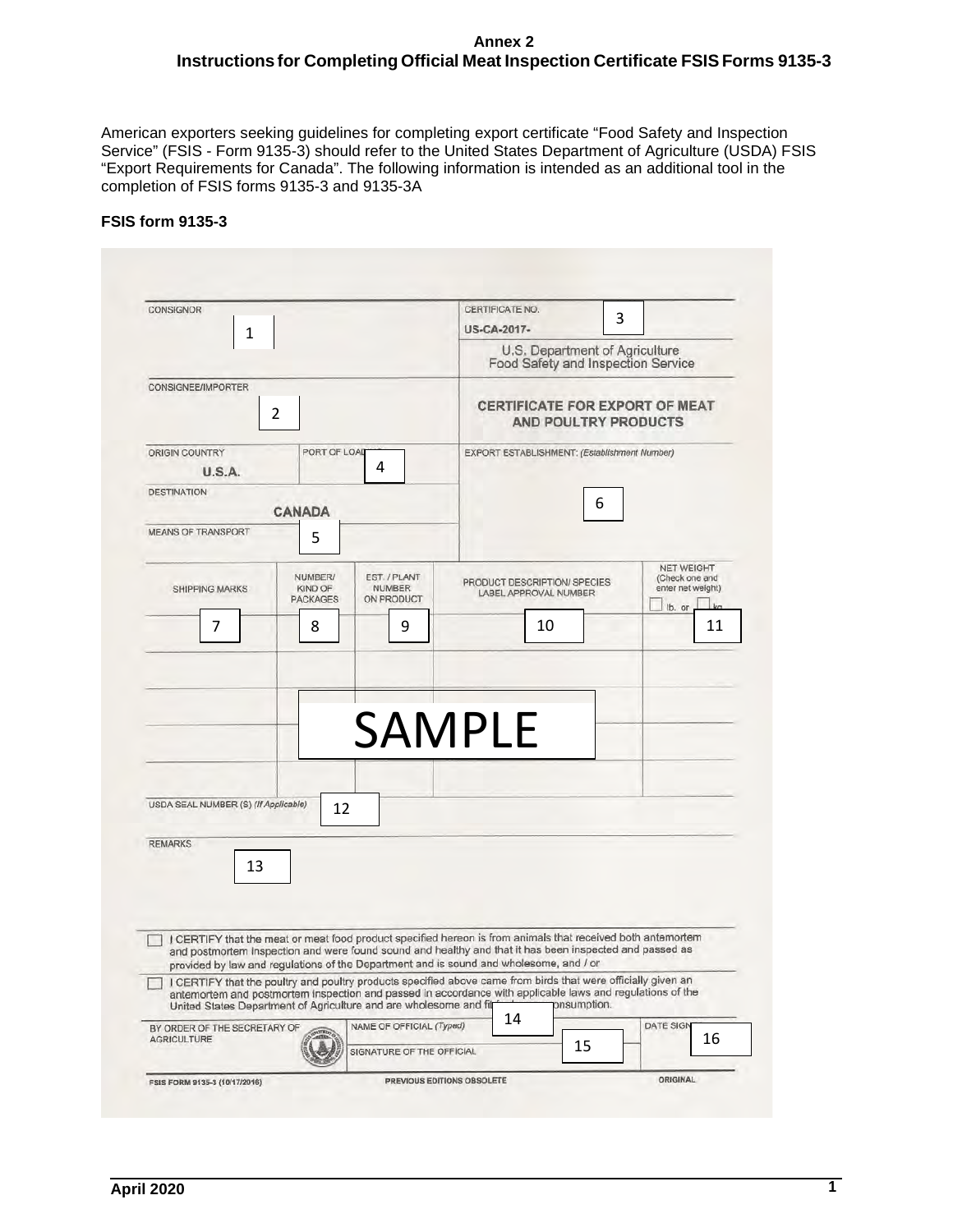#### **Annex 2 Instructions for Completing Official Meat Inspection Certificate FSIS Forms 9135-3**

American exporters seeking guidelines for completing export certificate "Food Safety and Inspection Service" (FSIS - Form 9135-3) should refer to the United States Department of Agriculture (USDA) FSIS "Export Requirements for Canada". The following information is intended as an additional tool in the completion of FSIS forms 9135-3 and 9135-3A

## **FSIS form 9135-3**

| CONSIGNOR                                                                                                                                                                                                                                                                                        |                                                                      | CERTIFICATE NO.                              |             |                                                          |  |
|--------------------------------------------------------------------------------------------------------------------------------------------------------------------------------------------------------------------------------------------------------------------------------------------------|----------------------------------------------------------------------|----------------------------------------------|-------------|----------------------------------------------------------|--|
| 1                                                                                                                                                                                                                                                                                                |                                                                      | US-CA-2017-                                  | 3           |                                                          |  |
|                                                                                                                                                                                                                                                                                                  | U.S. Department of Agriculture<br>Food Safety and Inspection Service |                                              |             |                                                          |  |
| <b>CONSIGNEE/IMPORTER</b>                                                                                                                                                                                                                                                                        |                                                                      |                                              |             |                                                          |  |
| 2                                                                                                                                                                                                                                                                                                | CERTIFICATE FOR EXPORT OF MEAT<br>AND POULTRY PRODUCTS               |                                              |             |                                                          |  |
| ORIGIN COUNTRY<br>PORT OF LOAD<br>U.S.A.                                                                                                                                                                                                                                                         | 4                                                                    | EXPORT ESTABLISHMENT: (Establishment Number) |             |                                                          |  |
| <b>DESTINATION</b>                                                                                                                                                                                                                                                                               |                                                                      |                                              |             |                                                          |  |
| <b>CANADA</b>                                                                                                                                                                                                                                                                                    |                                                                      |                                              | 6           |                                                          |  |
| <b>MEANS OF TRANSPORT</b><br>5                                                                                                                                                                                                                                                                   |                                                                      |                                              |             |                                                          |  |
|                                                                                                                                                                                                                                                                                                  |                                                                      |                                              |             |                                                          |  |
| NUMBER/                                                                                                                                                                                                                                                                                          | EST. / PLANT                                                         | PRODUCT DESCRIPTION/ SPECIES                 |             | <b>NET WEIGHT</b><br>(Check one and<br>enter net weight) |  |
| <b>KIND OF</b><br><b>SHIPPING MARKS</b><br><b>PACKAGES</b>                                                                                                                                                                                                                                       | <b>NUMBER</b><br>ON PRODUCT                                          | LABEL APPROVAL NUMBER                        |             | k <sub>0</sub><br>lb. or                                 |  |
| 8<br>7                                                                                                                                                                                                                                                                                           | 9                                                                    | 10                                           |             | 11                                                       |  |
|                                                                                                                                                                                                                                                                                                  |                                                                      |                                              |             |                                                          |  |
|                                                                                                                                                                                                                                                                                                  |                                                                      |                                              |             |                                                          |  |
|                                                                                                                                                                                                                                                                                                  |                                                                      |                                              |             |                                                          |  |
|                                                                                                                                                                                                                                                                                                  |                                                                      |                                              |             |                                                          |  |
|                                                                                                                                                                                                                                                                                                  |                                                                      |                                              |             |                                                          |  |
|                                                                                                                                                                                                                                                                                                  |                                                                      |                                              |             |                                                          |  |
|                                                                                                                                                                                                                                                                                                  |                                                                      | <b>SAMPLE</b>                                |             |                                                          |  |
|                                                                                                                                                                                                                                                                                                  |                                                                      |                                              |             |                                                          |  |
|                                                                                                                                                                                                                                                                                                  |                                                                      |                                              |             |                                                          |  |
| USDA SEAL NUMBER (S) (If Applicable)<br>12                                                                                                                                                                                                                                                       |                                                                      |                                              |             |                                                          |  |
|                                                                                                                                                                                                                                                                                                  |                                                                      |                                              |             |                                                          |  |
| <b>REMARKS</b>                                                                                                                                                                                                                                                                                   |                                                                      |                                              |             |                                                          |  |
| 13                                                                                                                                                                                                                                                                                               |                                                                      |                                              |             |                                                          |  |
|                                                                                                                                                                                                                                                                                                  |                                                                      |                                              |             |                                                          |  |
|                                                                                                                                                                                                                                                                                                  |                                                                      |                                              |             |                                                          |  |
|                                                                                                                                                                                                                                                                                                  |                                                                      |                                              |             |                                                          |  |
| I CERTIFY that the meat or meat food product specified hereon is from animals that received both antemortem<br>and postmortem inspection and were found sound and healthy and that it has been inspected and passed as                                                                           |                                                                      |                                              |             |                                                          |  |
| provided by law and regulations of the Department and is sound and wholesome, and / or                                                                                                                                                                                                           |                                                                      |                                              |             |                                                          |  |
| I CERTIFY that the poultry and poultry products specified above came from birds that were officially given an<br>antemortem and postmortem inspection and passed in accordance with applicable laws and regulations of the<br>United States Department of Agriculture and are wholesome and filt |                                                                      |                                              | onsumption. |                                                          |  |
| BY ORDER OF THE SECRETARY OF                                                                                                                                                                                                                                                                     | NAME OF OFFICIAL (Typed)                                             | 14                                           |             | <b>DATE SIGN</b>                                         |  |
| <b>AGRICULTURE</b>                                                                                                                                                                                                                                                                               | SIGNATURE OF THE OFFICIAL                                            | 15                                           |             | 16                                                       |  |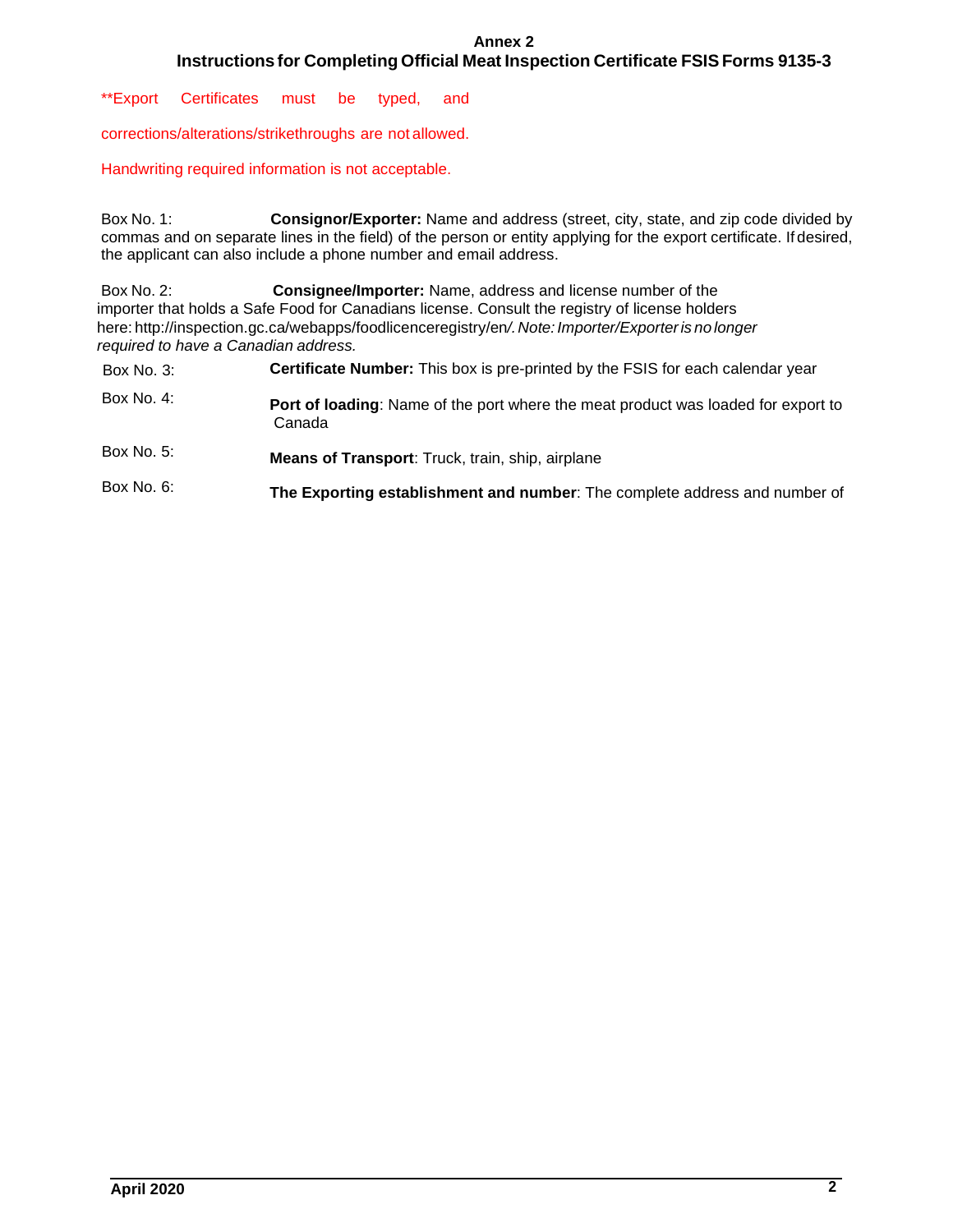#### **Annex 2 Instructions for Completing Official Meat Inspection Certificate FSIS Forms 9135-3**

\*\*Export Certificates must be typed, and

corrections/alterations/strikethroughs are not allowed.

Handwriting required information is not acceptable.

Box No. 1: commas and on separate lines in the field) of the person or entity applying for the export certificate. If desired, the applicant can also include a phone number and email address. Consignor/Exporter: Name and address (street, city, state, and zip code divided by

Box No. 2:  here[: http://inspection.gc.ca/webapps/foodlicenceregistry/en](http://inspection.gc.ca/webapps/foodlicenceregistry/en/)*/.Note: Importer/Exporter is no longer required to have a Canadian address.*  Consignee/Importer: Name, address and license number of the importer that holds a Safe Food for Canadians license. Consult the registry of license holders

| Box No. 3:   | <b>Certificate Number:</b> This box is pre-printed by the FSIS for each calendar year       |
|--------------|---------------------------------------------------------------------------------------------|
| Box No. 4:   | Port of loading: Name of the port where the meat product was loaded for export to<br>Canada |
| Box No. 5:   | <b>Means of Transport:</b> Truck, train, ship, airplane                                     |
| Box No. $6:$ | The Exporting establishment and number: The complete address and number of                  |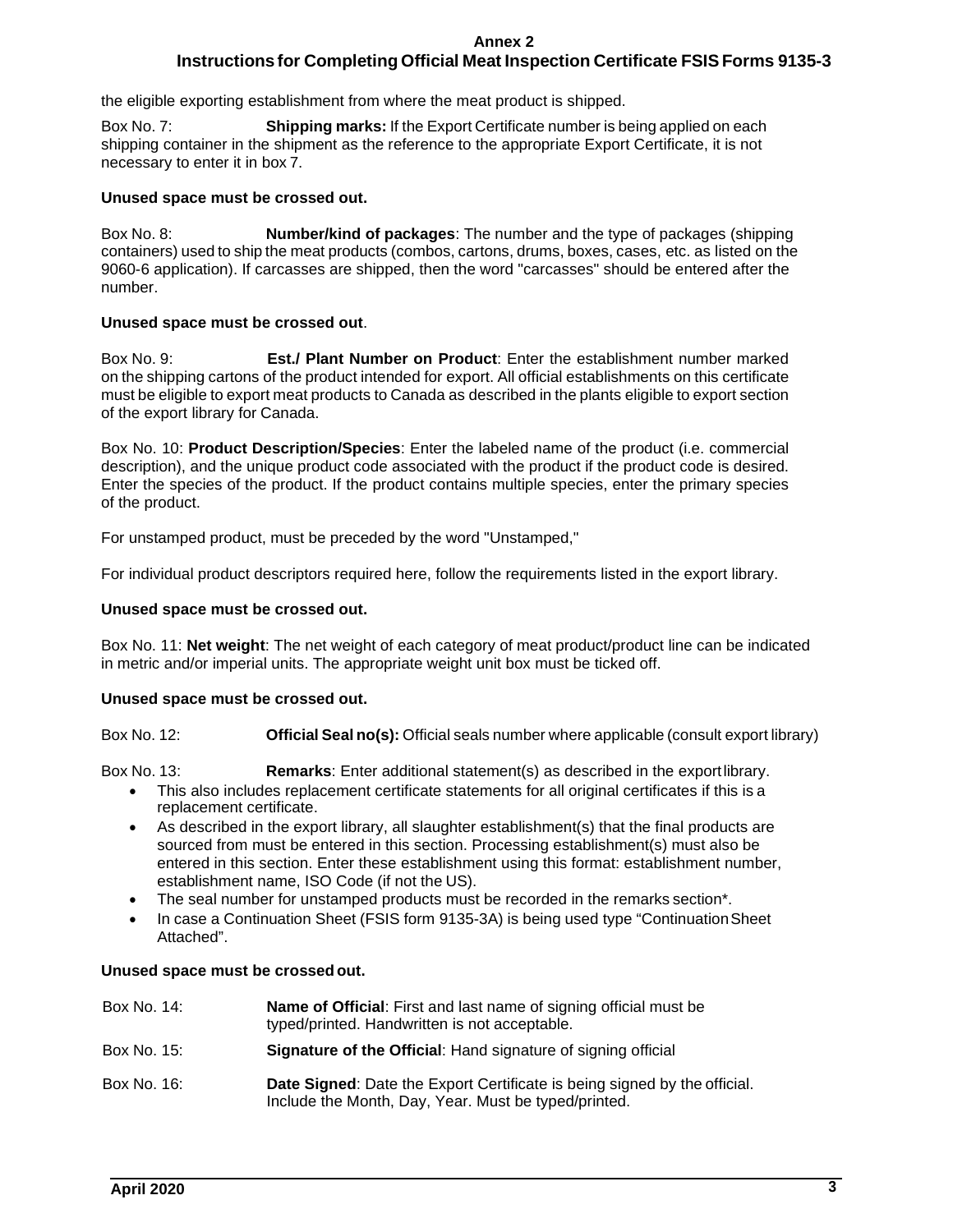#### **Annex 2**

# **Instructions for Completing Official Meat Inspection Certificate FSIS Forms 9135-3**

the eligible exporting establishment from where the meat product is shipped.

Box No. 7: shipping container in the shipment as the reference to the appropriate Export Certificate, it is not necessary to enter it in box 7. **Shipping marks:** If the Export Certificate number is being applied on each

#### **Unused space must be crossed out.**

Box No. 8: containers) used to ship the meat products (combos, cartons, drums, boxes, cases, etc. as listed on the **Number/kind of packages:** The number and the type of packages (shipping) 9060-6 application). If carcasses are shipped, then the word "carcasses" should be entered after the number.

#### **Unused space must be crossed out**.

 $Box No. 9$  on the shipping cartons of the product intended for export. All official establishments on this certificate must be eligible to export meat products to Canada as described in the plants eligible to export section of the export library for Canada. **Est./ Plant Number on Product:** Enter the establishment number marked

 description), and the unique product code associated with the product if the product code is desired. Box No. 10: **Product Description/Species**: Enter the labeled name of the product (i.e. commercial Enter the species of the product. If the product contains multiple species, enter the primary species of the product.

For unstamped product, must be preceded by the word "Unstamped,"

For individual product descriptors required here, follow the requirements listed in the export library.

#### **Unused space must be crossed out.**

Box No. 11: **Net weight**: The net weight of each category of meat product/product line can be indicated in metric and/or imperial units. The appropriate weight unit box must be ticked off.

#### **Unused space must be crossed out.**

Box No. 12: **Official Seal no(s):** Official seals number where applicable (consult export library)

Box No. 13: Remarks: Enter additional statement(s) as described in the exportlibrary.

- • This also includes replacement certificate statements for all original certificates if this is a replacement certificate.
- establishment name, ISO Code (if not the US). • As described in the export library, all slaughter establishment(s) that the final products are sourced from must be entered in this section. Processing establishment(s) must also be entered in this section. Enter these establishment using this format: establishment number,
- The seal number for unstamped products must be recorded in the remarks section\*.
- • In case a Continuation Sheet (FSIS form 9135-3A) is being used type "ContinuationSheet Attached".

#### **Unused space must be crossed out.**

| Box No. 14: | Name of Official: First and last name of signing official must be<br>typed/printed. Handwritten is not acceptable.                |
|-------------|-----------------------------------------------------------------------------------------------------------------------------------|
| Box No. 15: | Signature of the Official: Hand signature of signing official                                                                     |
| Box No. 16: | Date Signed: Date the Export Certificate is being signed by the official.<br>Include the Month, Day, Year. Must be typed/printed. |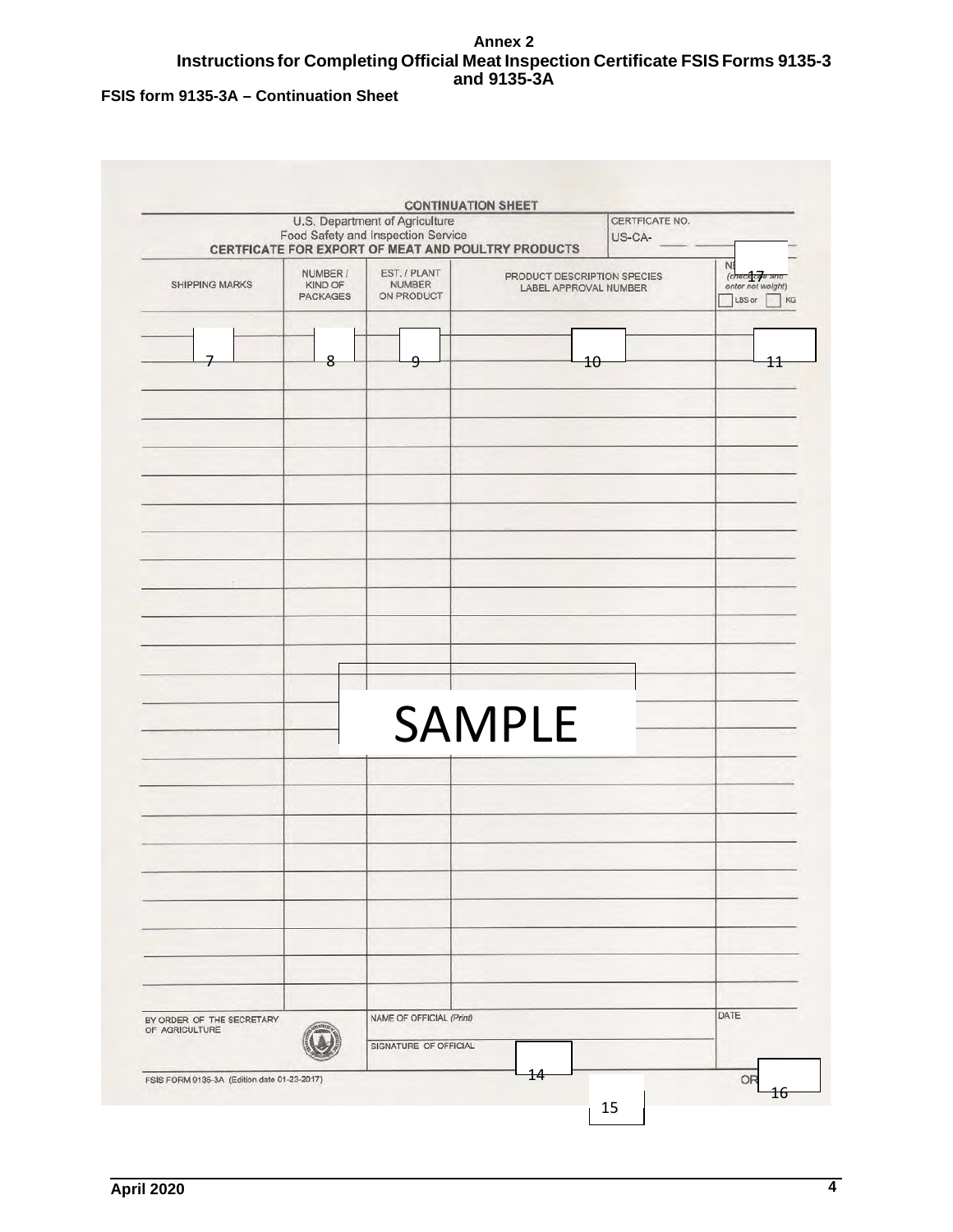## **Annex 2 Instructions for Completing Official Meat Inspection Certificate FSIS Forms 9135-3 and 9135-3A**

# **FSIS form 9135-3A – Continuation Sheet**

|                                                                 |   | U.S. Department of Agriculture<br>Food Safety and Inspection Service<br>CERTFICATE FOR EXPORT OF MEAT AND POULTRY PRODUCTS |               | CERTFICATE NO.<br>US-CA-                             |                                                      |
|-----------------------------------------------------------------|---|----------------------------------------------------------------------------------------------------------------------------|---------------|------------------------------------------------------|------------------------------------------------------|
| NUMBER /<br><b>SHIPPING MARKS</b><br>KIND OF<br><b>PACKAGES</b> |   | EST. / PLANT<br><b>NUMBER</b><br>ON PRODUCT                                                                                |               | PRODUCT DESCRIPTION SPECIES<br>LABEL APPROVAL NUMBER | NB<br>(checklorje and<br>enter net weight)<br>LBS or |
|                                                                 | 8 | 9                                                                                                                          |               | 10                                                   | 11                                                   |
|                                                                 |   |                                                                                                                            |               |                                                      |                                                      |
|                                                                 |   |                                                                                                                            |               |                                                      |                                                      |
| $\sim$                                                          |   |                                                                                                                            |               |                                                      |                                                      |
|                                                                 |   |                                                                                                                            | <b>SAMPLE</b> |                                                      |                                                      |
|                                                                 |   |                                                                                                                            |               |                                                      |                                                      |
|                                                                 |   |                                                                                                                            |               |                                                      |                                                      |
|                                                                 |   |                                                                                                                            |               |                                                      |                                                      |
| BY ORDER OF THE SECRETARY<br>OF AGRICULTURE                     |   | NAME OF OFFICIAL (Print)<br>SIGNATURE OF OFFICIAL                                                                          |               |                                                      | DATE                                                 |
| FSIS FORM 9135-3A (Edition date 01-23-2017)                     |   |                                                                                                                            | 14            |                                                      | OR                                                   |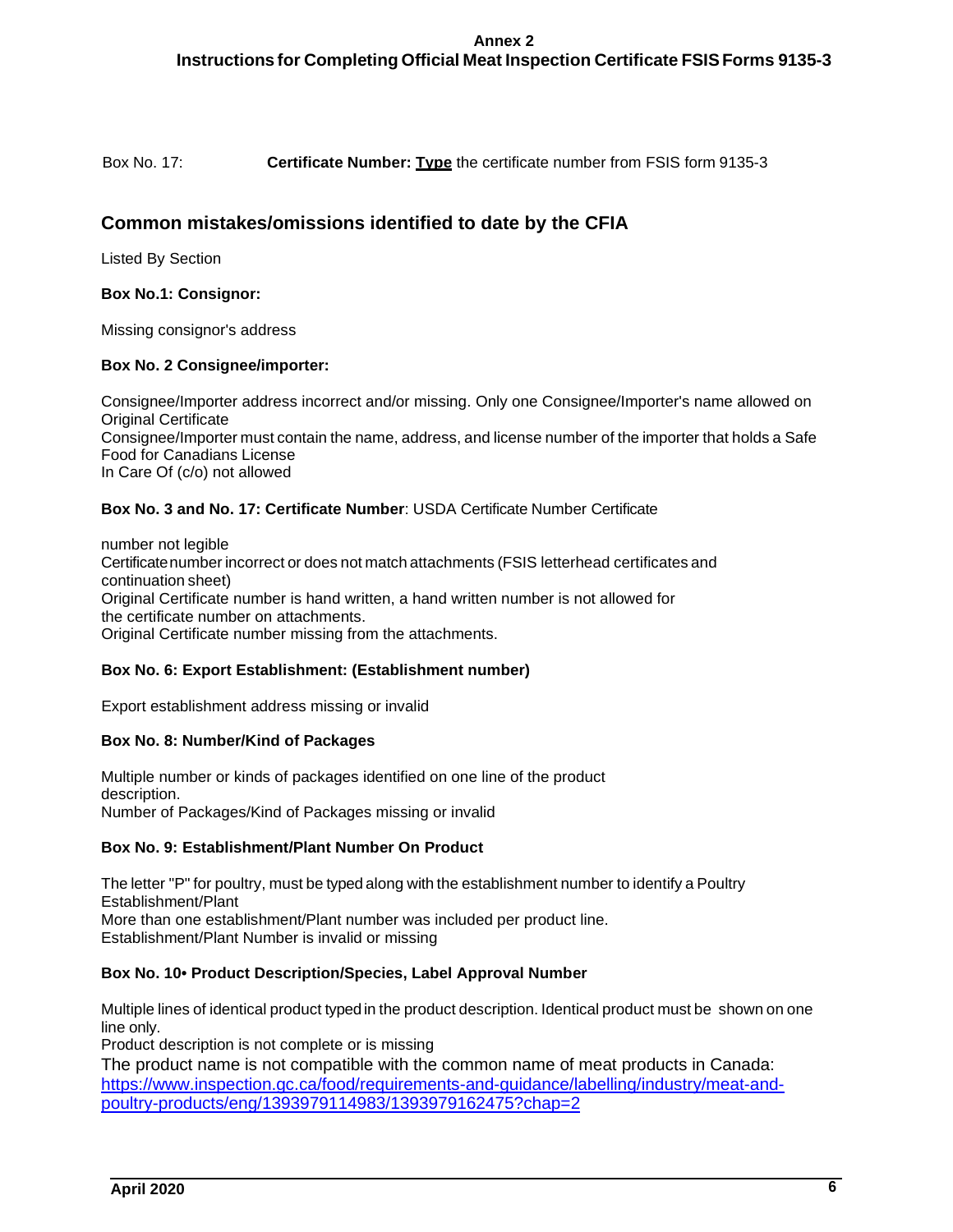# **Instructions for Completing Official Meat Inspection Certificate FSIS Forms 9135-3**

Box No. 17: Certificate Number: **Type** the certificate number from FSIS form 9135-3

# **Common mistakes/omissions identified to date by the CFIA**

Listed By Section

#### **Box No.1: Consignor:**

Missing consignor's address

#### **Box No. 2 Consignee/importer:**

 Consignee/Importer must contain the name, address, and license number of the importer that holds a Safe Food for Canadians License Consignee/Importer address incorrect and/or missing. Only one Consignee/Importer's name allowed on Original Certificate In Care Of (c/o) not allowed

#### **Box No. 3 and No. 17: Certificate Number**: USDA Certificate Number Certificate

 number not legible Certificatenumber incorrect or does not match attachments (FSIS letterhead certificates and continuation sheet) Original Certificate number is hand written, a hand written number is not allowed for the certificate number on attachments. Original Certificate number missing from the attachments.

#### **Box No. 6: Export Establishment: (Establishment number)**

Export establishment address missing or invalid

#### **Box No. 8: Number/Kind of Packages**

Multiple number or kinds of packages identified on one line of the product description. Number of Packages/Kind of Packages missing or invalid

#### **Box No. 9: Establishment/Plant Number On Product**

 The letter "P" for poultry, must be typed along with the establishment number to identify a Poultry Establishment/Plant More than one establishment/Plant number was included per product line. Establishment/Plant Number is invalid or missing

#### **Box No. 10• Product Description/Species, Label Approval Number**

 Multiple lines of identical product typed in the product description. Identical product must be shown on one line only.

Product description is not complete or is missing

 The product name is not compatible with the common name of meat products in Canada: [https://www.inspection.gc.ca/food/requirements-and-guidance/labelling/industry/meat-and](https://www.inspection.gc.ca/food/requirements-and-guidance/labelling/industry/meat-and-poultry-products/eng/1393979114983/1393979162475?chap=2)[poultry-products/eng/1393979114983/1393979162475?chap=2](https://www.inspection.gc.ca/food/requirements-and-guidance/labelling/industry/meat-and-poultry-products/eng/1393979114983/1393979162475?chap=2)